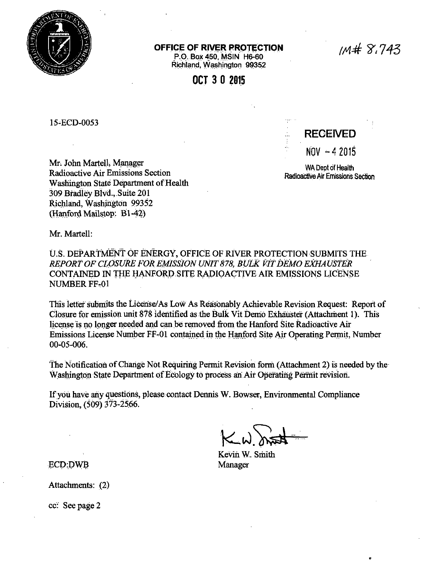

## OFFICE OF RIVER PROTECTION

P.O. Box 450, MSIN H6-60 Richland. Washington 99352

OCT 3 0 2015

15-ECD-0053

Mr. John Martell, Manager Radioactive Air Emissions Section Washington State Department of Health 309 Bradley Blvd., Suite 201 Richland, Washington 99352 (Hanford Mailstop: B1-42)

**RECEIVED**  $NOV - 42015$ 

WA Dept of Health Radioactive Air Emissions Section

Mr. Martell:

U.S. DEPARTMENT OF ENERGY, OFFICE OF RIVER PROTECTION SUBMITS THE REPORT OF CLOSURE FOR EMISSION UNIT 878. BULK VIT DEMO EXHAUSTER CONTAINED IN THE HANFORD SITE RADIOACTIVE AIR EMISSIONS LICENSE **NUMBER FF-01** 

This letter submits the License/As Low As Reasonably Achievable Revision Request: Report of Closure for emission unit 878 identified as the Bulk Vit Demo Exhauster (Attachment 1). This license is no longer needed and can be removed from the Hanford Site Radioactive Air Emissions License Number FF-01 contained in the Hanford Site Air Operating Permit, Number  $00 - 05 - 006$ .

The Notification of Change Not Requiring Permit Revision form (Attachment 2) is needed by the Washington State Department of Ecology to process an Air Operating Permit revision.

If you have any questions, please contact Dennis W. Bowser, Environmental Compliance Division, (509) 373-2566.

Kevin W. Smith Manager

**ECD:DWB** 

Attachments: (2)

cc: See page 2

 $1M# 8.743$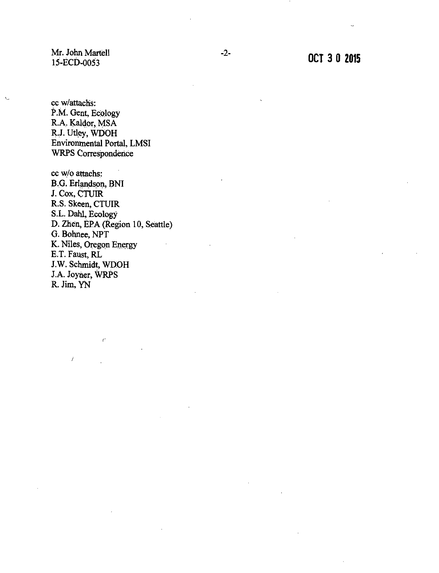Mr. John Martell 15-ECD-0053

cc w/attachs: P.M. Gent, Ecology R.A. Kaldor, MSA R.J. Utley, WDOH Environmental Portal, LMSI WRPS Correspondence

cc w/o attachs: B.G. Erlandson, BNI J. Cox, CTUIR R.S. Skeen, CTUIR S.L. Dahl, Ecology D. Zhen, EPA (Region 10, Seattle) G. Bohnee, NPT K. Niles, Oregon Energy E.T. Faust, RL J.W. Schmidt, WDOH J.A. Joyner, WRPS R. Jim, YN

*r* 

 $\overline{1}$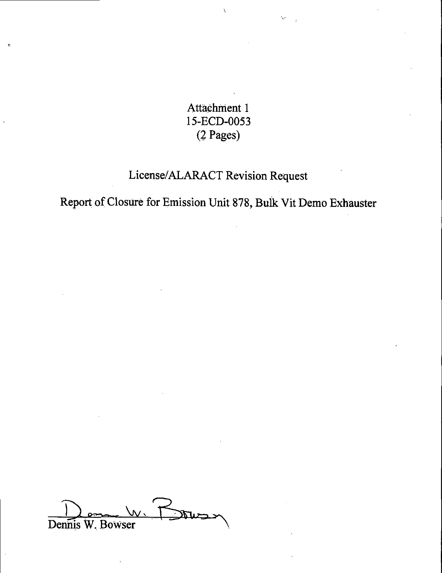Attachment 1 15-ECD-0053 (2 Pages)

# License/ALARACT Revision Request

Report of Closure for Emission Unit 878, Bulk Vit Demo Exhauster

 $\frac{1}{\text{Deninis W. Bowers}}$  W.  $\frac{1}{\text{Deninis W. Bowers}}$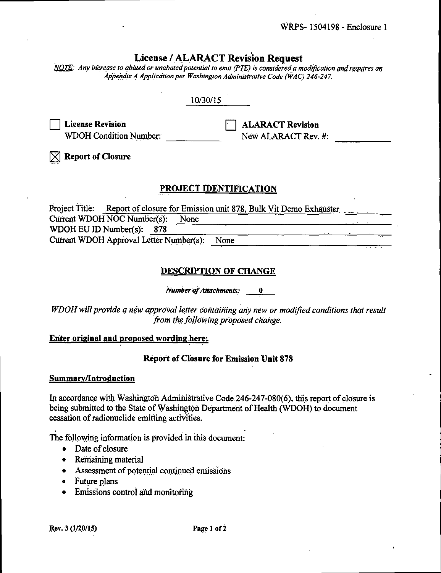# **License / ALARACT Revision Request**

NOTE: Any increase to abated or unabated potential to emit (PTE) is considered a modification and requires an Appendix A Application per Washington Administrative Code (WAC) 246-247.

# 10/30/15

**License Revision WDOH Condition Number:**  **ALARACT Revision** New ALARACT Rev. #:

**Report of Closure** 

# PROJECT IDENTIFICATION

Project Title: Report of closure for Emission unit 878, Bulk Vit Demo Exhauster Current WDOH NOC Number(s): None WDOH EU ID Number(s):  $878$ Current WDOH Approval Letter Number(s): None

# **DESCRIPTION OF CHANGE**

**Number of Attachments:**  $\mathbf{0}$ 

WDOH will provide a new approval letter containing any new or modified conditions that result from the following proposed change.

## Enter original and proposed wording here:

## **Report of Closure for Emission Unit 878**

#### **Summary/Introduction**

In accordance with Washington Administrative Code 246-247-080(6), this report of closure is being submitted to the State of Washington Department of Health (WDOH) to document cessation of radionuclide emitting activities.

The following information is provided in this document:

- Date of closure
- Remaining material
- Assessment of potential continued emissions
- Future plans
- Emissions control and monitoring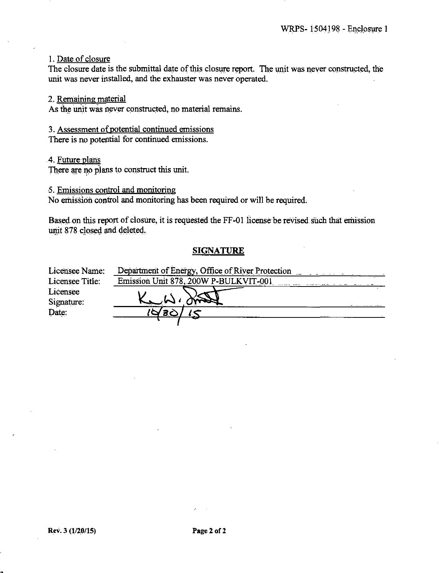1. Date of closure

The closure date is the submittal date of this closure report. The unit was never constructed, the unit was never installed, and the exhauster was never operated.

2. Remaining material

As the unit was never constructed, no material remains.

#### 3. Assessment of potential continued emissions

There is no potential for continued emissions.

#### 4. Future plans

There are no plans to construct this unit.

#### 5. Emissions control and monitoring

No emission control and monitoring has been required or will be required.

Based on this report of closure, it is requested the FF-01 license be revised such that emission unit 878 closed and deleted.

## **SIGNATURE**

| Licensee Name:  | Department of Energy, Office of River Protection |  |
|-----------------|--------------------------------------------------|--|
| Licensee Title: | Emission Unit 878, 200W P-BULKVIT-001            |  |
| Licensee        |                                                  |  |
| Signature:      |                                                  |  |
| Date:           | <u>IQ 80</u>                                     |  |
|                 |                                                  |  |

•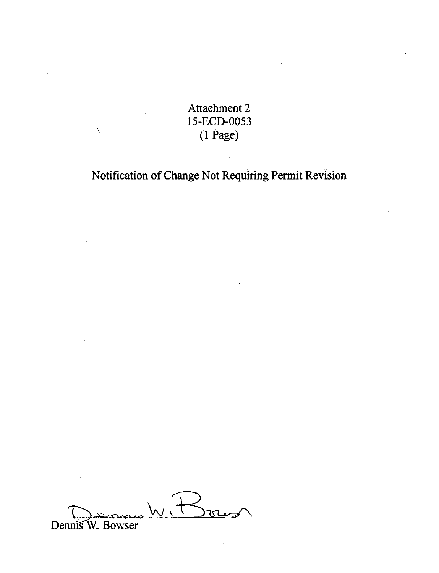Attachment 2 l 5-ECD-0053 (1 Page)

 $\bar{\mathcal{L}}$ 

Notification of Change Not Requiring Permit Revision

Dennis W. Bouwer<br>Dennis W. Bowser